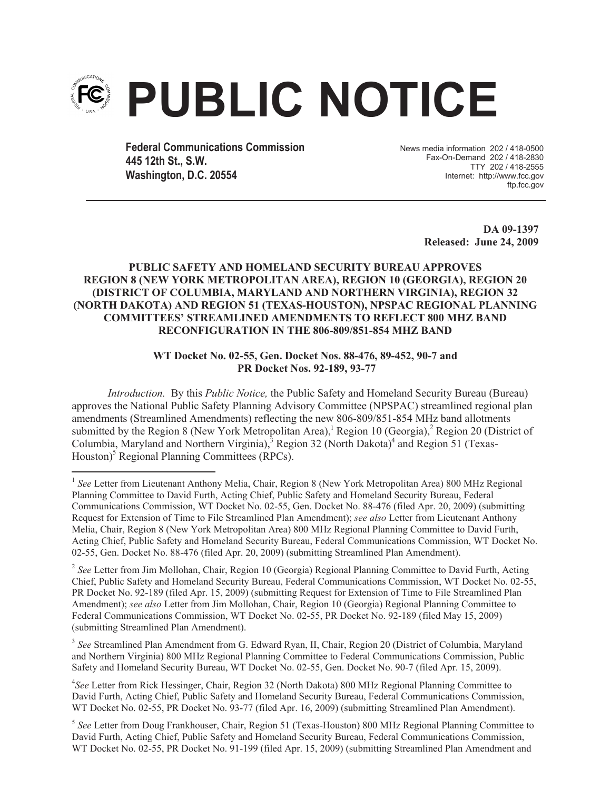

**Federal Communications Commission 445 12th St., S.W. Washington, D.C. 20554**

News media information 202 / 418-0500 Fax-On-Demand 202 / 418-2830 TTY 202 / 418-2555 Internet: http://www.fcc.gov ftp.fcc.gov

> **DA 09-1397 Released: June 24, 2009**

## **PUBLIC SAFETY AND HOMELAND SECURITY BUREAU APPROVES REGION 8 (NEW YORK METROPOLITAN AREA), REGION 10 (GEORGIA), REGION 20 (DISTRICT OF COLUMBIA, MARYLAND AND NORTHERN VIRGINIA), REGION 32 (NORTH DAKOTA) AND REGION 51 (TEXAS-HOUSTON), NPSPAC REGIONAL PLANNING COMMITTEES' STREAMLINED AMENDMENTS TO REFLECT 800 MHZ BAND RECONFIGURATION IN THE 806-809/851-854 MHZ BAND**

## **WT Docket No. 02-55, Gen. Docket Nos. 88-476, 89-452, 90-7 and PR Docket Nos. 92-189, 93-77**

*Introduction.* By this *Public Notice,* the Public Safety and Homeland Security Bureau (Bureau) approves the National Public Safety Planning Advisory Committee (NPSPAC) streamlined regional plan amendments (Streamlined Amendments) reflecting the new 806-809/851-854 MHz band allotments submitted by the Region 8 (New York Metropolitan Area),<sup>1</sup> Region 10 (Georgia),<sup>2</sup> Region 20 (District of Columbia, Maryland and Northern Virginia), $3R$ egion 32 (North Dakota)<sup>4</sup> and Region 51 (Texas-Houston)<sup>5</sup> Regional Planning Committees (RPCs).

<sup>2</sup> See Letter from Jim Mollohan, Chair, Region 10 (Georgia) Regional Planning Committee to David Furth, Acting Chief, Public Safety and Homeland Security Bureau, Federal Communications Commission, WT Docket No. 02-55, PR Docket No. 92-189 (filed Apr. 15, 2009) (submitting Request for Extension of Time to File Streamlined Plan Amendment); *see also* Letter from Jim Mollohan, Chair, Region 10 (Georgia) Regional Planning Committee to Federal Communications Commission, WT Docket No. 02-55, PR Docket No. 92-189 (filed May 15, 2009) (submitting Streamlined Plan Amendment).

<sup>3</sup> See Streamlined Plan Amendment from G. Edward Ryan, II, Chair, Region 20 (District of Columbia, Maryland and Northern Virginia) 800 MHz Regional Planning Committee to Federal Communications Commission, Public Safety and Homeland Security Bureau, WT Docket No. 02-55, Gen. Docket No. 90-7 (filed Apr. 15, 2009).

4 *See* Letter from Rick Hessinger, Chair, Region 32 (North Dakota) 800 MHz Regional Planning Committee to David Furth, Acting Chief, Public Safety and Homeland Security Bureau, Federal Communications Commission, WT Docket No. 02-55, PR Docket No. 93-77 (filed Apr. 16, 2009) (submitting Streamlined Plan Amendment).

5 *See* Letter from Doug Frankhouser, Chair, Region 51 (Texas-Houston) 800 MHz Regional Planning Committee to David Furth, Acting Chief, Public Safety and Homeland Security Bureau, Federal Communications Commission, WT Docket No. 02-55, PR Docket No. 91-199 (filed Apr. 15, 2009) (submitting Streamlined Plan Amendment and

<sup>&</sup>lt;sup>1</sup> See Letter from Lieutenant Anthony Melia, Chair, Region 8 (New York Metropolitan Area) 800 MHz Regional Planning Committee to David Furth, Acting Chief, Public Safety and Homeland Security Bureau, Federal Communications Commission, WT Docket No. 02-55, Gen. Docket No. 88-476 (filed Apr. 20, 2009) (submitting Request for Extension of Time to File Streamlined Plan Amendment); *see also* Letter from Lieutenant Anthony Melia, Chair, Region 8 (New York Metropolitan Area) 800 MHz Regional Planning Committee to David Furth, Acting Chief, Public Safety and Homeland Security Bureau, Federal Communications Commission, WT Docket No. 02-55, Gen. Docket No. 88-476 (filed Apr. 20, 2009) (submitting Streamlined Plan Amendment).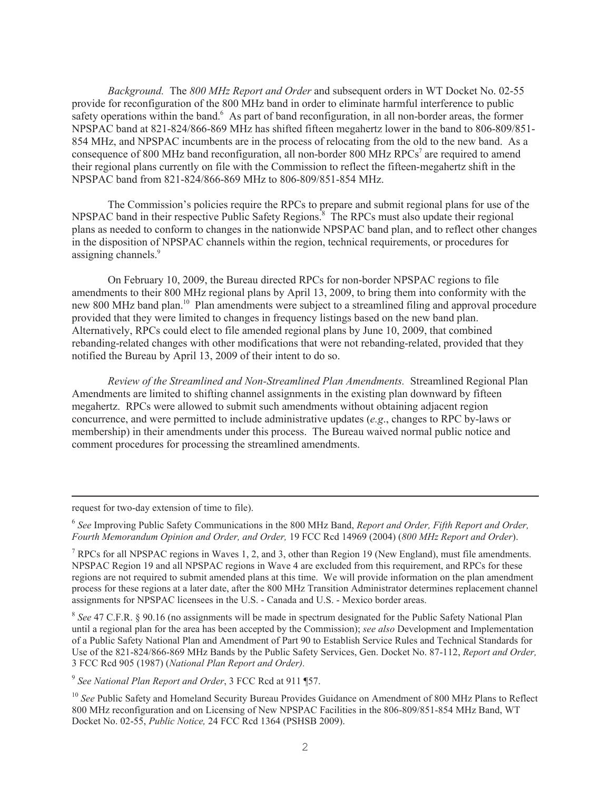*Background.* The *800 MHz Report and Order* and subsequent orders in WT Docket No. 02-55 provide for reconfiguration of the 800 MHz band in order to eliminate harmful interference to public safety operations within the band.<sup>6</sup> As part of band reconfiguration, in all non-border areas, the former NPSPAC band at 821-824/866-869 MHz has shifted fifteen megahertz lower in the band to 806-809/851- 854 MHz, and NPSPAC incumbents are in the process of relocating from the old to the new band. As a consequence of 800 MHz band reconfiguration, all non-border 800 MHz RPCs<sup>7</sup> are required to amend their regional plans currently on file with the Commission to reflect the fifteen-megahertz shift in the NPSPAC band from 821-824/866-869 MHz to 806-809/851-854 MHz.

The Commission's policies require the RPCs to prepare and submit regional plans for use of the NPSPAC band in their respective Public Safety Regions.<sup>8</sup> The RPCs must also update their regional plans as needed to conform to changes in the nationwide NPSPAC band plan, and to reflect other changes in the disposition of NPSPAC channels within the region, technical requirements, or procedures for assigning channels.<sup>9</sup>

On February 10, 2009, the Bureau directed RPCs for non-border NPSPAC regions to file amendments to their 800 MHz regional plans by April 13, 2009, to bring them into conformity with the new 800 MHz band plan.<sup>10</sup> Plan amendments were subject to a streamlined filing and approval procedure provided that they were limited to changes in frequency listings based on the new band plan. Alternatively, RPCs could elect to file amended regional plans by June 10, 2009, that combined rebanding-related changes with other modifications that were not rebanding-related, provided that they notified the Bureau by April 13, 2009 of their intent to do so.

*Review of the Streamlined and Non-Streamlined Plan Amendments.* Streamlined Regional Plan Amendments are limited to shifting channel assignments in the existing plan downward by fifteen megahertz. RPCs were allowed to submit such amendments without obtaining adjacent region concurrence, and were permitted to include administrative updates (*e.g*., changes to RPC by-laws or membership) in their amendments under this process. The Bureau waived normal public notice and comment procedures for processing the streamlined amendments.

request for two-day extension of time to file).

<sup>8</sup> See 47 C.F.R. § 90.16 (no assignments will be made in spectrum designated for the Public Safety National Plan until a regional plan for the area has been accepted by the Commission); *see also* Development and Implementation of a Public Safety National Plan and Amendment of Part 90 to Establish Service Rules and Technical Standards for Use of the 821-824/866-869 MHz Bands by the Public Safety Services, Gen. Docket No. 87-112, *Report and Order,*  3 FCC Rcd 905 (1987) (*National Plan Report and Order).*

<sup>6</sup> *See* Improving Public Safety Communications in the 800 MHz Band, *Report and Order, Fifth Report and Order, Fourth Memorandum Opinion and Order, and Order,* 19 FCC Rcd 14969 (2004) (*800 MHz Report and Order*).

<sup>&</sup>lt;sup>7</sup> RPCs for all NPSPAC regions in Waves 1, 2, and 3, other than Region 19 (New England), must file amendments. NPSPAC Region 19 and all NPSPAC regions in Wave 4 are excluded from this requirement, and RPCs for these regions are not required to submit amended plans at this time. We will provide information on the plan amendment process for these regions at a later date, after the 800 MHz Transition Administrator determines replacement channel assignments for NPSPAC licensees in the U.S. - Canada and U.S. - Mexico border areas.

<sup>9</sup> *See National Plan Report and Order*, 3 FCC Rcd at 911 ¶57.

<sup>10</sup> *See* Public Safety and Homeland Security Bureau Provides Guidance on Amendment of 800 MHz Plans to Reflect 800 MHz reconfiguration and on Licensing of New NPSPAC Facilities in the 806-809/851-854 MHz Band, WT Docket No. 02-55, *Public Notice,* 24 FCC Rcd 1364 (PSHSB 2009).